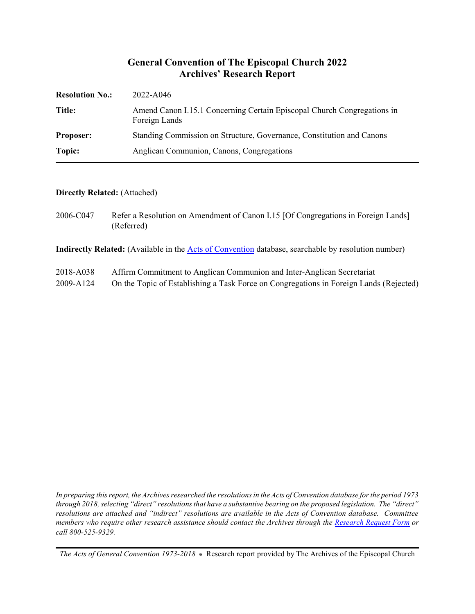#### **General Convention of The Episcopal Church 2022 Archives' Research Report**

| <b>Resolution No.:</b> | 2022-A046                                                                                |
|------------------------|------------------------------------------------------------------------------------------|
| Title:                 | Amend Canon I.15.1 Concerning Certain Episcopal Church Congregations in<br>Foreign Lands |
| <b>Proposer:</b>       | Standing Commission on Structure, Governance, Constitution and Canons                    |
| Topic:                 | Anglican Communion, Canons, Congregations                                                |

#### **Directly Related:** (Attached)

2006-C047 Refer a Resolution on Amendment of Canon I.15 [Of Congregations in Foreign Lands] (Referred)

**Indirectly Related:** (Available in the [Acts of Convention](https://www.episcopalarchives.org/e-archives/acts/) database, searchable by resolution number)

- 2018-A038 Affirm Commitment to Anglican Communion and Inter-Anglican Secretariat
- 2009-A124 On the Topic of Establishing a Task Force on Congregations in Foreign Lands (Rejected)

*In preparing this report, the Archives researched the resolutions in the Acts of Convention database for the period 1973 through 2018, selecting "direct" resolutions that have a substantive bearing on the proposed legislation. The "direct" resolutions are attached and "indirect" resolutions are available in the Acts of Convention database. Committee members who require other research assistance should contact the Archives through the Research [Request Form](https://www.episcopalarchives.org/contact/research-request-form) or call 800-525-9329.*

*The Acts of General Convention 1973-2018*  $*$  Research report provided by The Archives of the Episcopal Church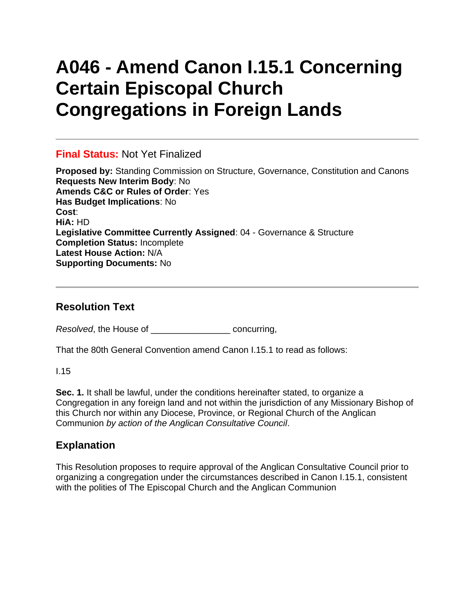# **A046 - Amend Canon I.15.1 Concerning Certain Episcopal Church Congregations in Foreign Lands**

### **Final Status:** Not Yet Finalized

**Proposed by:** Standing Commission on Structure, Governance, Constitution and Canons **Requests New Interim Body**: No **Amends C&C or Rules of Order**: Yes **Has Budget Implications**: No **Cost**: **HiA:** HD **Legislative Committee Currently Assigned**: 04 - Governance & Structure **Completion Status:** Incomplete **Latest House Action:** N/A **Supporting Documents:** No

### **Resolution Text**

*Resolved*, the House of \_\_\_\_\_\_\_\_\_\_\_\_\_\_\_\_ concurring,

That the 80th General Convention amend Canon I.15.1 to read as follows:

I.15

**Sec. 1.** It shall be lawful, under the conditions hereinafter stated, to organize a Congregation in any foreign land and not within the jurisdiction of any Missionary Bishop of this Church nor within any Diocese, Province, or Regional Church of the Anglican Communion *by action of the Anglican Consultative Council*.

## **Explanation**

This Resolution proposes to require approval of the Anglican Consultative Council prior to organizing a congregation under the circumstances described in Canon I.15.1, consistent with the polities of The Episcopal Church and the Anglican Communion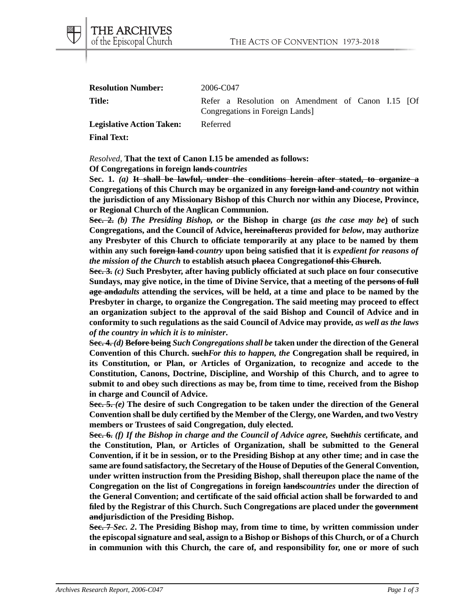THE ARCHIVES of the Episcopal Church

**Resolution Number:** 2006-C047

**Title:** Refer a Resolution on Amendment of Canon I.15 [Of Congregations in Foreign Lands]

Legislative Action Taken: Referred

**Final Text:**

*Resolved*, **That the text of Canon I.15 be amended as follows:**

**Of Congregations in foreign lands** *countries*

**Sec. 1.** *(a)* **It shall be lawful, under the conditions herein after stated, to organize a Congregations of this Church may be organized in any foreign land and** *country* **not within the jurisdiction of any Missionary Bishop of this Church nor within any Diocese, Province, or Regional Church of the Anglican Communion.**

**Sec. 2.** *(b) The Presiding Bishop, or* **the Bishop in charge (***as the case may be***) of such Congregations, and the Council of Advice, hereinafter***as* **provided for** *below***, may authorize any Presbyter of this Church to officiate temporarily at any place to be named by them within any such foreign land** *country* **upon being satisfied that it is** *expedient for reasons of the mission of the Church* **to establish atsuch placea Congregationof this Church.**

**Sec. 3.** *(c)* **Such Presbyter, after having publicly officiated at such place on four consecutive Sundays, may give notice, in the time of Divine Service, that a meeting of the persons of full age and***adults* **attending the services, will be held, at a time and place to be named by the Presbyter in charge, to organize the Congregation. The said meeting may proceed to effect an organization subject to the approval of the said Bishop and Council of Advice and in conformity to such regulations as the said Council of Advice may provide***, as well as the laws of the country in which it is to minister***.**

**Sec. 4.** *(d)* **Before being** *Such Congregations shall be* **taken under the direction of the General Convention of this Church. such***For this to happen, the* **Congregation shall be required, in its Constitution, or Plan, or Articles of Organization, to recognize and accede to the Constitution, Canons, Doctrine, Discipline, and Worship of this Church, and to agree to submit to and obey such directions as may be, from time to time, received from the Bishop in charge and Council of Advice.**

**Sec. 5.** *(e)* **The desire of such Congregation to be taken under the direction of the General Convention shall be duly certified by the Member of the Clergy, one Warden, and two Vestry members or Trustees of said Congregation, duly elected.**

**Sec. 6.** *(f) If the Bishop in charge and the Council of Advice agree,* **Such***this* **certificate, and the Constitution, Plan, or Articles of Organization, shall be submitted to the General Convention, if it be in session, or to the Presiding Bishop at any other time; and in case the same are found satisfactory, the Secretary of the House of Deputies of the General Convention, under written instruction from the Presiding Bishop, shall thereupon place the name of the Congregation on the list of Congregations in foreign lands***countries* **under the direction of the General Convention; and certificate of the said official action shall be forwarded to and filed by the Registrar of this Church. Such Congregations are placed under the government andjurisdiction of the Presiding Bishop.**

**Sec. 7** *Sec. 2***. The Presiding Bishop may, from time to time, by written commission under the episcopal signature and seal, assign to a Bishop or Bishops of this Church, or of a Church in communion with this Church, the care of, and responsibility for, one or more of such**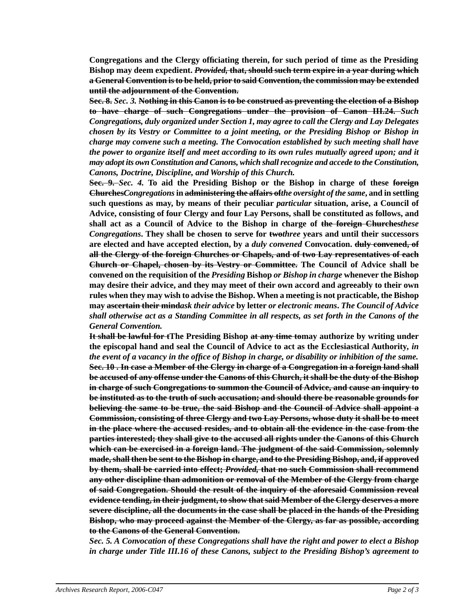**Congregations and the Clergy officiating therein, for such period of time as the Presiding Bishop may deem expedient.** *Provided,* **that, should such term expire in a year during which a General Convention is to be held, prior to said Convention, the commission may be extended until the adjournment of the Convention.**

**Sec. 8.** *Sec. 3.* **Nothing in this Canon is to be construed as preventing the election of a Bishop to have charge of such Congregations under the provision of Canon III.24.** *Such Congregations, duly organized under Section 1, may agree to call the Clergy and Lay Delegates chosen by its Vestry or Committee to a joint meeting, or the Presiding Bishop or Bishop in charge may convene such a meeting. The Convocation established by such meeting shall have the power to organize itself and meet according to its own rules mutually agreed upon; and it may adopt its own Constitution and Canons, which shall recognize and accede to the Constitution, Canons, Doctrine, Discipline, and Worship of this Church.*

**Sec. 9.** *Sec. 4.* **To aid the Presiding Bishop or the Bishop in charge of these foreign Churches***Congregations* **in administering the affairs of***the oversight of the same***, and in settling such questions as may, by means of their peculiar** *particular* **situation, arise, a Council of Advice, consisting of four Clergy and four Lay Persons, shall be constituted as follows, and shall act as a Council of Advice to the Bishop in charge of the foreign Churches***these Congregations***. They shall be chosen to serve for two***three* **years and until their successors are elected and have accepted election, by a** *duly convened* **Convocation. duly convened, of all the Clergy of the foreign Churches or Chapels, and of two Lay representatives of each Church or Chapel, chosen by its Vestry or Committee. The Council of Advice shall be convened on the requisition of the** *Presiding* **Bishop** *or Bishop in charge* **whenever the Bishop may desire their advice, and they may meet of their own accord and agreeably to their own rules when they may wish to advise the Bishop. When a meeting is not practicable, the Bishop may ascertain their mind***ask their advice* **by letter** *or electronic means***.** *The Council of Advice shall otherwise act as a Standing Committee in all respects, as set forth in the Canons of the General Convention.*

**It shall be lawful for tThe Presiding Bishop at any time tomay authorize by writing under the episcopal hand and seal the Council of Advice to act as the Ecclesiastical Authority***, in the event of a vacancy in the office of Bishop in charge, or disability or inhibition of the same.* **Sec. 10 . In case a Member of the Clergy in charge of a Congregation in a foreign land shall be accused of any offense under the Canons of this Church, it shall be the duty of the Bishop in charge of such Congregations to summon the Council of Advice, and cause an inquiry to be instituted as to the truth of such accusation; and should there be reasonable grounds for believing the same to be true, the said Bishop and the Council of Advice shall appoint a Commission, consisting of three Clergy and two Lay Persons, whose duty it shall be to meet in the place where the accused resides, and to obtain all the evidence in the case from the parties interested; they shall give to the accused all rights under the Canons of this Church which can be exercised in a foreign land. The judgment of the said Commission, solemnly made, shall then be sent to the Bishop in charge, and to the Presiding Bishop, and, if approved by them, shall be carried into effect;** *Provided,* **that no such Commission shall recommend any other discipline than admonition or removal of the Member of the Clergy from charge of said Congregation. Should the result of the inquiry of the aforesaid Commission reveal evidence tending, in their judgment, to show that said Member of the Clergy deserves a more severe discipline, all the documents in the case shall be placed in the hands of the Presiding Bishop, who may proceed against the Member of the Clergy, as far as possible, according to the Canons of the General Convention.**

*Sec. 5. A Convocation of these Congregations shall have the right and power to elect a Bishop in charge under Title III.16 of these Canons, subject to the Presiding Bishop's agreement to*